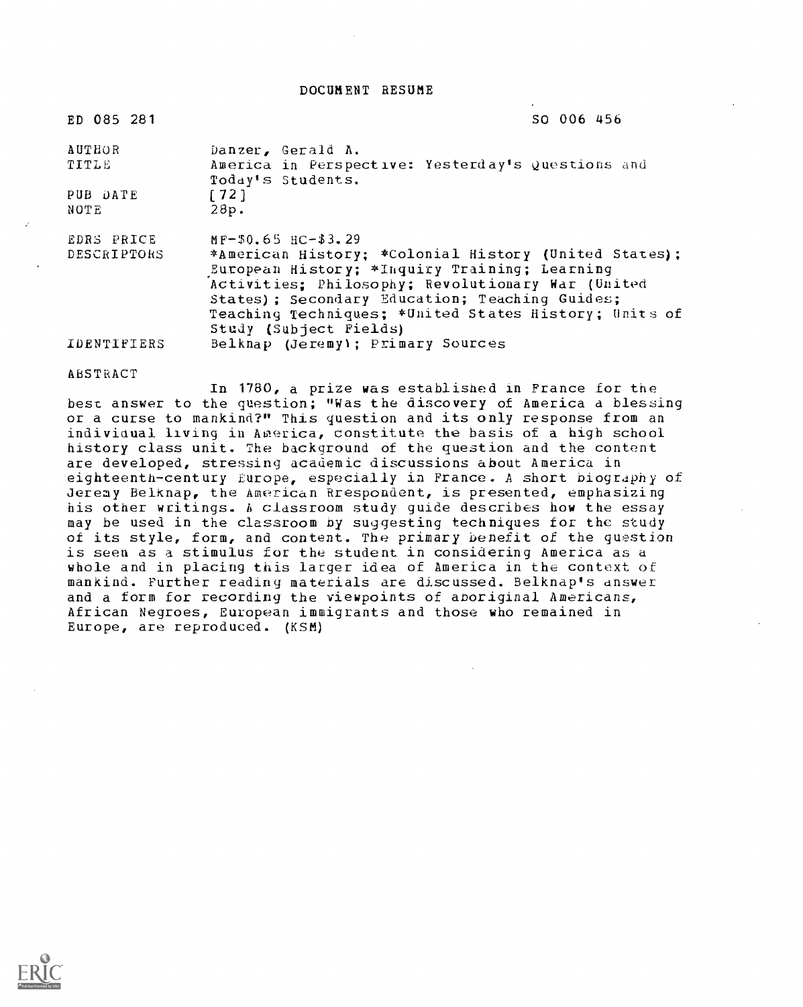DOCUMENT RESUME

| ED 085 281                | SO 006 456                                                                                                                                                                                                                                                                                      |
|---------------------------|-------------------------------------------------------------------------------------------------------------------------------------------------------------------------------------------------------------------------------------------------------------------------------------------------|
| AUTHOR<br>TITLE           | Danzer, Gerald A.<br>America in Perspective: Yesterday's Questions and                                                                                                                                                                                                                          |
| PUB DATE<br>NOTE          | Today's Students.<br>[72]<br>28p.                                                                                                                                                                                                                                                               |
| EDRS PRICE<br>DESCRIPTORS | $MF-50.65$ $HC-33.29$<br>*American History; *Colonial History (United States);<br>European History; *Inquiry Training; Learning<br>Activities: Philosophy; Revolutionary War (United<br>States); Secondary Education; Teaching Guides;<br>Teaching Techniques; *United States History; Units of |
| <b>IDENTIFIERS</b>        | Study (Subject Fields)<br>Belknap (Jeremy); Primary Sources                                                                                                                                                                                                                                     |

#### ABSTRACT

In 1780, a prize was established in France for the best answer to the question; "Was the discovery of America a blessing or a curse to mankind?" This question and its only response from an individual living in America, constitute the basis of a high school history class unit. The background of the question and the content are developed, stressing academic discussions about America in eighteenth-century Europe, especially in France. A short biography of Jeremy Belknap, the American Rrespondent, is presented, emphasizing his other writings. h classroom study guide describes how the essay may be used in the classroom by suggesting techniques for the study of its style, form, and content. The primary benefit of the question is seen as a stimulus for the student in considering America as a whole and in placing this larger idea of America in the context of mankind. Further reading materials are discussed. Belknap's dnswer and a form for recording the viewpoints of aboriginal Americans, African Negroes, European immigrants and those who remained in Europe, are reproduced. (KSM)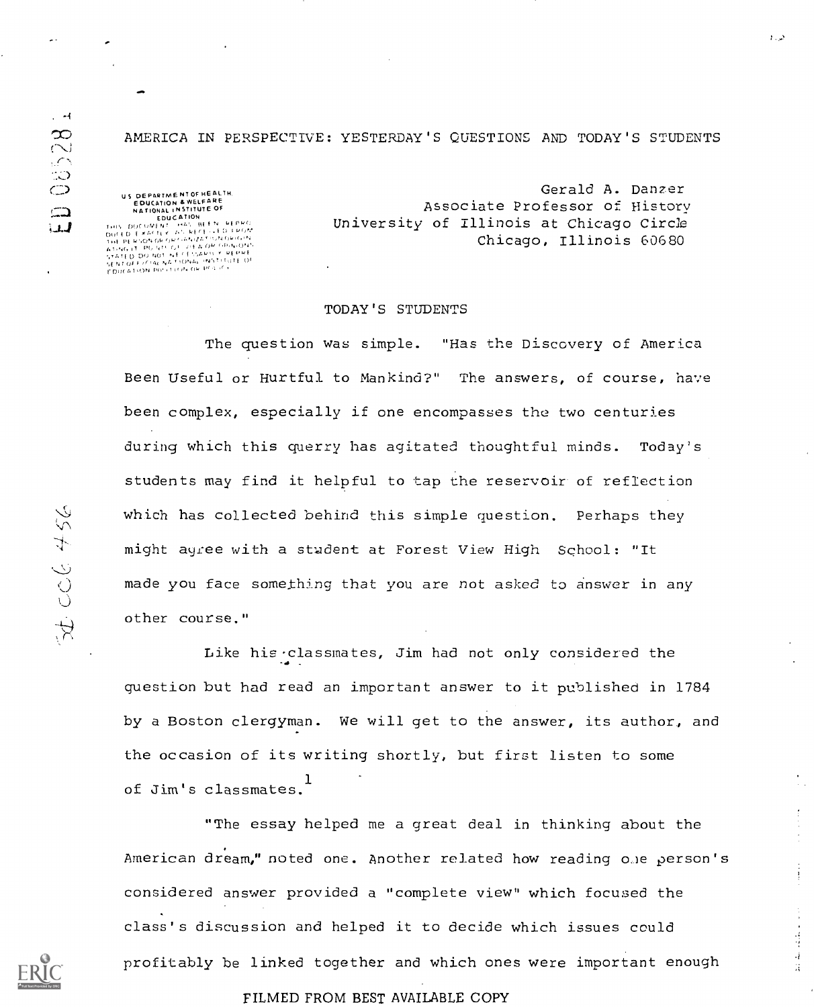AMERICA IN PERSPECTIVE: YESTERDAY'S QUESTIONS AND TODAY'S STUDENTS

US DEPARTME NT OF HEALTH.<br>EDUCATION & WELFARE<br>NATIONAL LASTITUTE OF

 $\overline{\phantom{a}}$ 

NATIONAL INSTITUTE OF<br>THIS DOCOMENT - MAS BEEN REPRO<br>THIS DOCOMENT - MAS BEEN REPRO<br>DOCED EXACTLY AN NECTLATORION<br>OUCED EXACTLY AN INSTITUTE<br>OUCED EXACTOR OP NARATORION<br>ATHOLIC DO NO NA CANA INSTITUTE OF<br>ATHOLIC DO NO, NA

Gerald A. panzer Associate Professor of History University of Illinois at Chicago Circle Chicago, Illinois 60680

د. د

 $\frac{1}{2}$ 

#### TODAY'S STUDENTS

The question was simple. "Has the Discovery of America Been Useful or Hurtful to Mankind?" The answers, of course, have been complex, especially if one encompasses the two centuries during which this querry has agitated thoughtful minds. Today's students may find it helpful to tap the reservoir of reflection which has collected behind this simple question. Perhaps they might agree with a student at Forest View High School: "It made you face something that you are not asked to answer in any other course."

Like his -classmates, Jim had not only considered the question but had read an important answer to it published in 1784 by a Boston clergyman. We will get to the answer, its author, and the occasion of its writing shortly, but first listen to some of Jim's classmates. 1

"The essay helped me a great deal in thinking about the American dream," noted one. Another related how reading o.le person's considered answer provided a "complete view" which focused the class's discussion and helped it to decide which issues could profitably be linked together and which ones were important enough

FILMED FROM BEST AVAILABLE COPY

 $\sim$  -4

08528

 $\Box$ لىك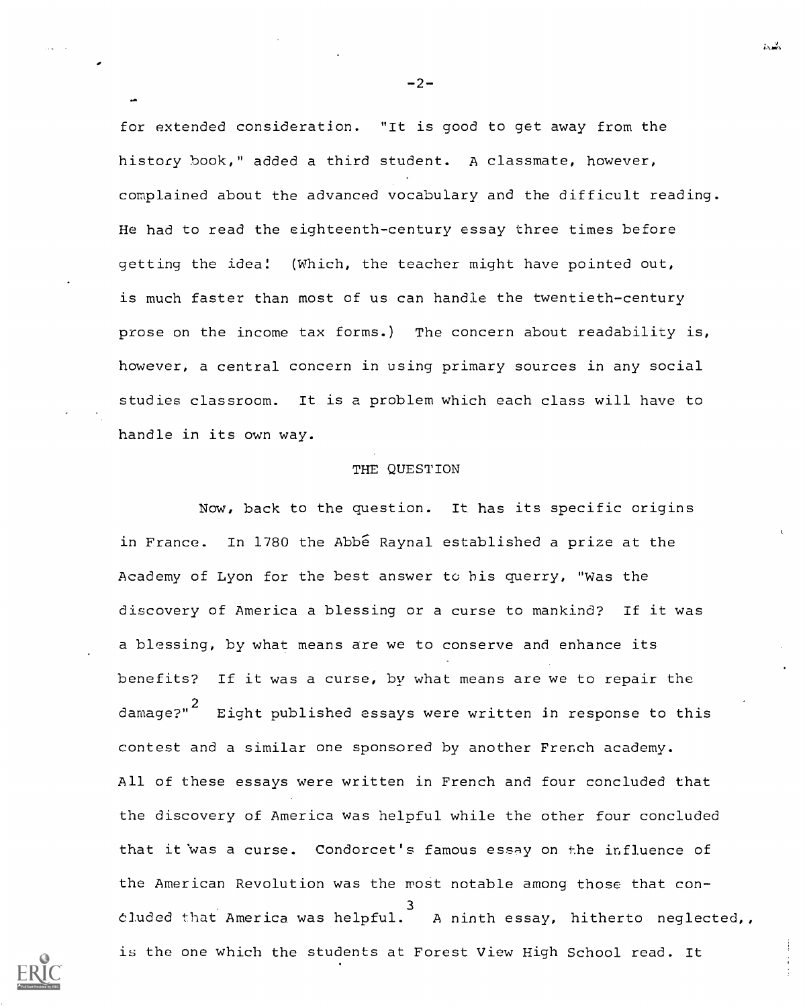for extended consideration. "It is good to get away from the history hook," added a third student. A classmate, however, complained about the advanced vocabulary and the difficult reading. He had to read the eighteenth-century essay three times before getting the idea! (Which, the teacher might have pointed out, is much faster than most of us can handle the twentieth-century prose on the income tax forms.) The concern about readability is, however, a central concern in using primary sources in any social studies classroom. It is a problem which each class will have to handle in its own way.

## THE QUESTION

Now, back to the question. It has its specific origins in France. In 1780 the Abbe Raynal established a prize at the Academy of Lyon for the best answer to his querry, "Was the discovery of America a blessing or a curse to mankind? If it was a blessing, by what means are we to conserve and enhance its benefits? If it was a curse, by what means are we to repair the damage?" $^{\mathrm{2}}$  -Eight published essays were written in response to this contest and a similar one sponsored by another French academy. All of these essays were written in French and four concluded that the discovery of America was helpful while the other four concluded that it was a curse. Condorcet's famous essay on the influence of the American Revolution was the most notable among those that con-3 eluded that America was helpful. A ninth essay, hitherto neglected is the one which the students at Forest View High School read. It



 $-2-$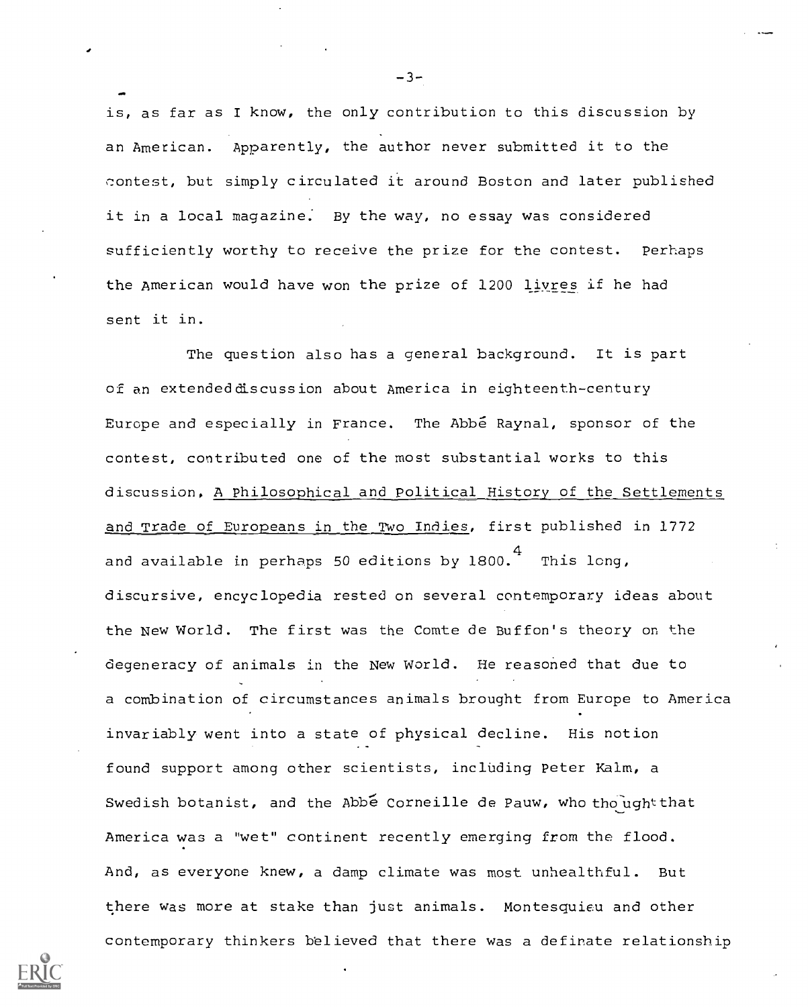is, as far as I know, the only contribution to this discussion by an American. Apparently, the author never submitted it to the contest, but simply circulated it around Boston and later published it in a local magazine. By the way, no essay was considered sufficiently worthy to receive the prize for the contest. Perhaps the American would have won the prize of 1200 liyres if he had sent it in.

The question also has a general background. It is part of an extended discussion about America in eighteenth-century Europe and especially in France. The Abbe Raynal, sponsor of the contest, contributed one of the most substantial works to this discussion, A Philosophical and Political History of the Settlements and Trade of Europeans in the Two Indies, first published in 1772 and available in perhaps 50 editions by 1800. $\frac{4}{\pi}$  This long, discursive, encyclopedia rested on several contemporary ideas about the New World. The first was the Comte de Buffon's theory on the degeneracy of animals in the New World. He reasoned that due to a combination of circumstances animals brought from Europe to America invariably went into a state of physical decline. His notion found support among other scientists, including Peter Kalm, a Swedish botanist, and the Abbe Corneille de Pauw, who thought that America was a "wet" continent recently emerging from the flood. And, as everyone knew, a damp climate was most unhealthful. But there was more at stake than just animals. Montesquieu and other contemporary thinkers believed that there was a definate relationship



 $-3-$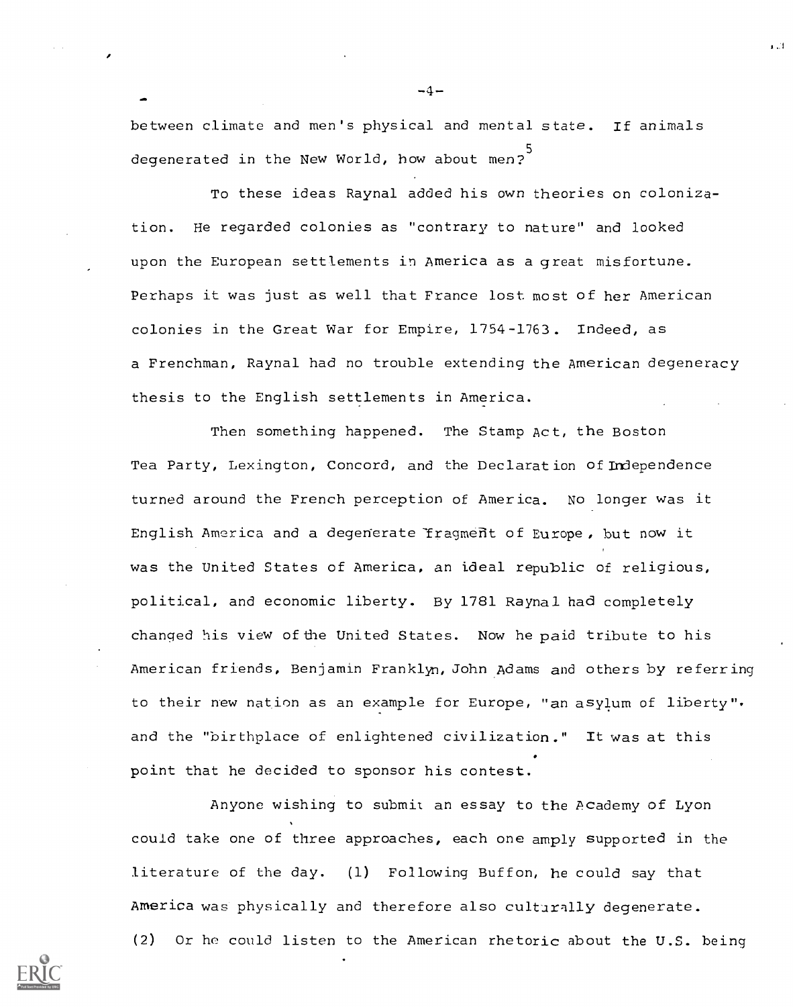between climate and men's physical and mental state. If animals degenerated in the New World, how about men?

To these ideas Raynal added his own theories on colonization. He regarded colonies as "contrary to nature" and looked upon the European settlements in America as a great misfortune. Perhaps it was just as well that France lost most of her American colonies in the Great War for Empire, 1754-1763. Indeed, as a Frenchman, Raynal had no trouble extending the American degeneracy thesis to the English settlements in America.

Then something happened. The Stamp Act, the Boston Tea Party, Lexington, Concord, and the Declaration of Independence turned around the French perception of America. No longer was it English America and a degenerate fragment of Europe, but now it was the United States of America, an ideal republic of religious, political, and economic liberty. By 1781 Raynal had completely changed his view of the United States. Now he paid tribute to his American friends, Benjamin Franklyn, John Adams and others by referring to their new nation as an example for Europe, "an asylum of liberty" and the "birthplace of enlightened civilization." It was at this point that he decided to sponsor his contest.

Anyone wishing to submit an essay to the Academy of Lyon could take one of three approaches, each one amply supported in the literature of the day. (1) Following Buffon, he could say that America was physically and therefore also culturally degenerate. (2) Or he could listen to the American rhetoric about the U.S. being

-4--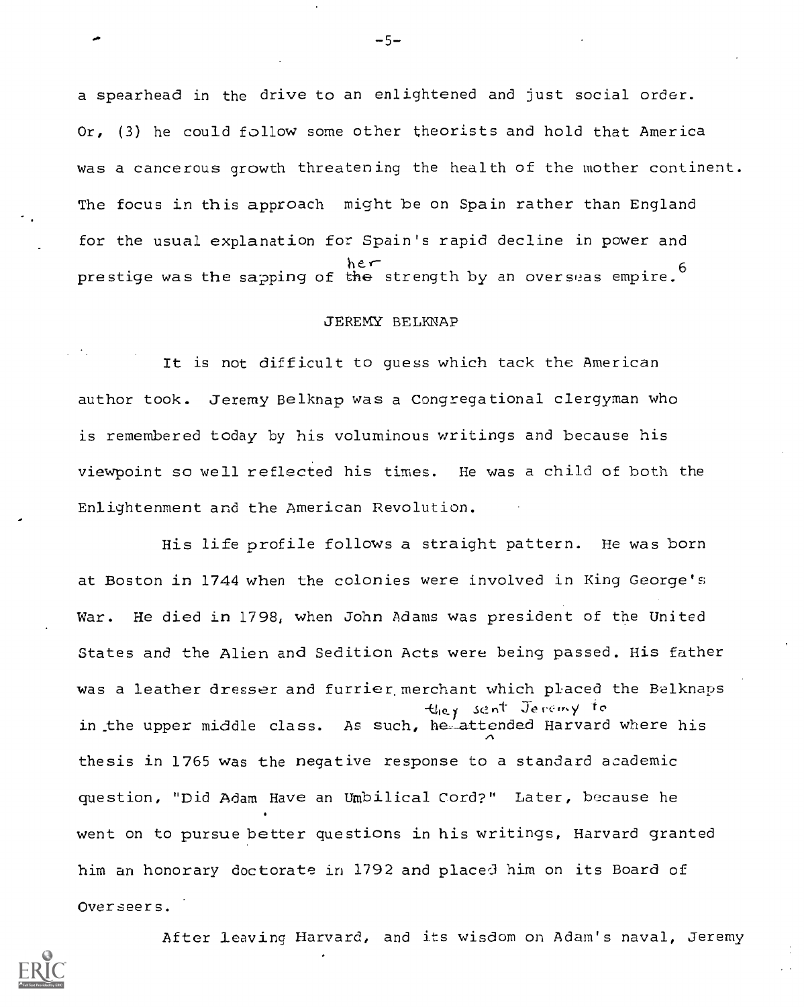a spearhead in the drive to an enlightened and just social order. Or, (3) he could follow some other theorists and hold that America was a cancerous growth threatening the health of the mother continent. The focus in this approach might be on Spain rather than England for the usual explanation for Spain's rapid decline in power and ner<br>prestige was the sapping of t<del>he</del> strength by an overseas empire.<sup>6</sup>

# JEREMY BELKNAP

It is not difficult to guess which tack the American author took. Jeremy Belknap was a Congregational clergyman who is remembered today by his voluminous writings and because his viewpoint so well reflected his times. He was a child of both the Enlightenment and the American Revolution.

His life profile follows a straight pattern. He was born at Boston in 1744 when the colonies were involved in King George's War. He died in 1798, when John Adams was president of the United States and the Alien and Sedition Acts were being passed. His father was a leather dresser and furrier, merchant which placed the Belknaps -10./ nt Jetcir.y to in the upper middle class. As such, he attended Harvard where his thesis in 1765 was the negative response to a standard academic question, "Did Adam Have an Umbilical Cord?" Later, because he went on to pursue better questions in his writings, Harvard granted him an honorary doctorate in 1792 and placed him on its Board of Overseers.

After leaving Harvard, and its wisdom on Adam's naval, Jeremy



 $-5-$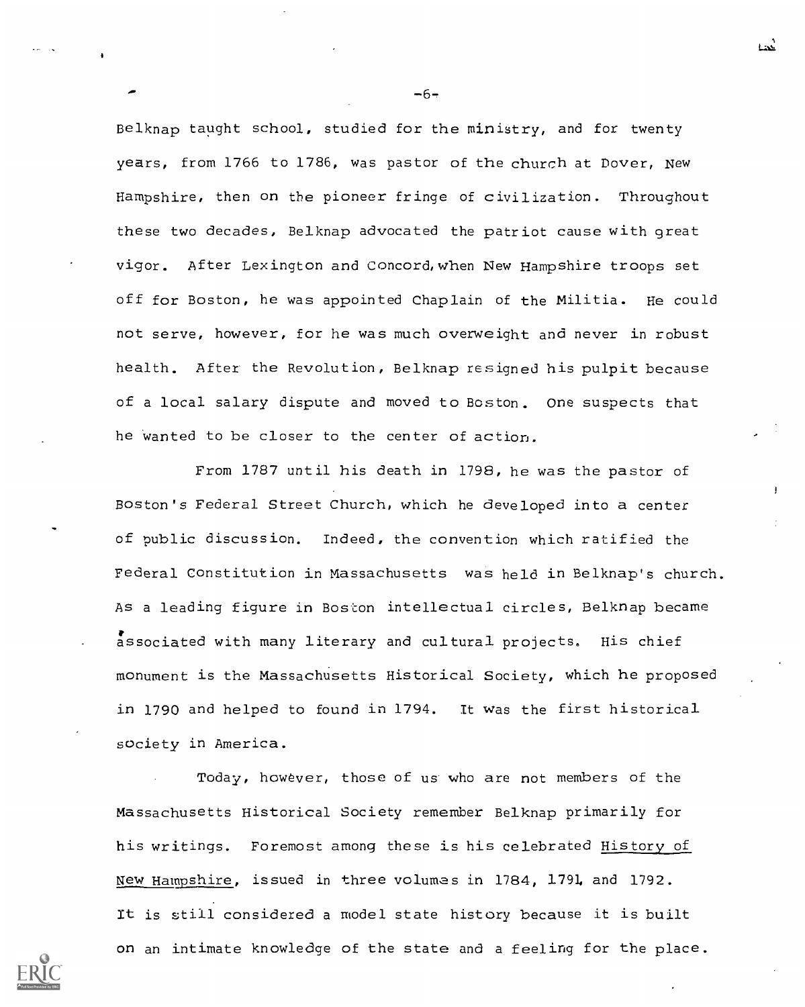Belknap taught school, studied for the ministry, and for twenty years, from 1766 to 1786, was pastor of the church at Dover, New Hampshire, then on the pioneer fringe of civilization. Throughout these two decades, Belknap advocated the patriot cause with great vigor. After Lexington and Concord, when New Hampshire troops set off for Boston, he was appointed Chaplain of the Militia. He could not serve, however, for he was much overweight and never in robust health. After the Revolution, Belknap resigned his pulpit because of a local salary dispute and moved to Boston. one suspects that he wanted to be closer to the center of action.

From 1787 until his death in 1798, he was the pastor of Boston's Federal Street Church, which he developed into a center of public discussion. Indeed, the convention which ratified the Federal Constitution in Massachusetts was held in Belknap's church. As a leading figure in Boston intellectual circles, Belknap became associated with many literary and cultural projects. His chief monument is the Massachusetts Historical Society, which he proposed in 1790 and helped to found in 1794. It was the first historical society in America.

Today, however, those of us who are not members of the Massachusetts Historical Society remember Belknap primarily for his writings. Foremost among these is his celebrated History of New Hampshire, issued in three volumes in 1784, 1791, and 1792. It is still considered a model state history because it is built on an intimate knowledge of the state and a feeling for the place.

-6-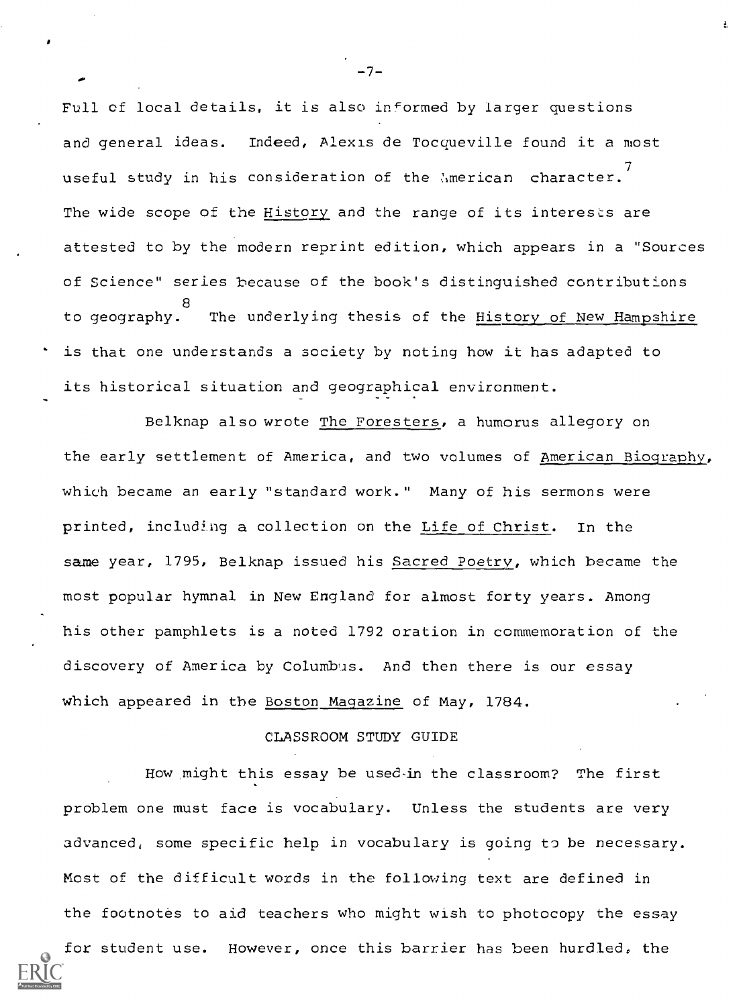Full of local details, it is also informed by larger questions and general ideas. Indeed, Alexis de Tocqueville found it a most useful study in his consideration of the  $\hbox{!}\,$  merican character.  $'$ The wide scope of the History and the range of its interests are attested to by the modern reprint edition, which appears in a "Sources of Science" series because of the book's distinguished contributions 8 to geography. The underlying thesis of the <u>History of New Hampshire</u> is that one understands a society by noting how it has adapted to its historical situation and geographical environment.

Belknap also wrote The Foresters, a humorus allegory on the early settlement of America, and two volumes of American Biography, which became an early "standard work." Many of his sermons were printed, including a collection on the Life of Christ. In the same year, 1795, Belknap issued his Sacred Poetry, which became the most popular hymnal in New England for almost forty years. Among his other pamphlets is a noted 1792 oration in commemoration of the discovery of America by Columbus. And then there is our essay which appeared in the Boston Magazine of May, 1784.

# CLASSROOM STUDY GUIDE

How might this essay be used-in the classroom? The first problem one must face is vocabulary. Unless the students are very advanced, some specific help in vocabulary is going to be necessary. Most of the difficult words in the following text are defined in the footnotes to aid teachers who might wish to photocopy the essay

for student use. However, once this barrier has been hurdled, the

 $-7-$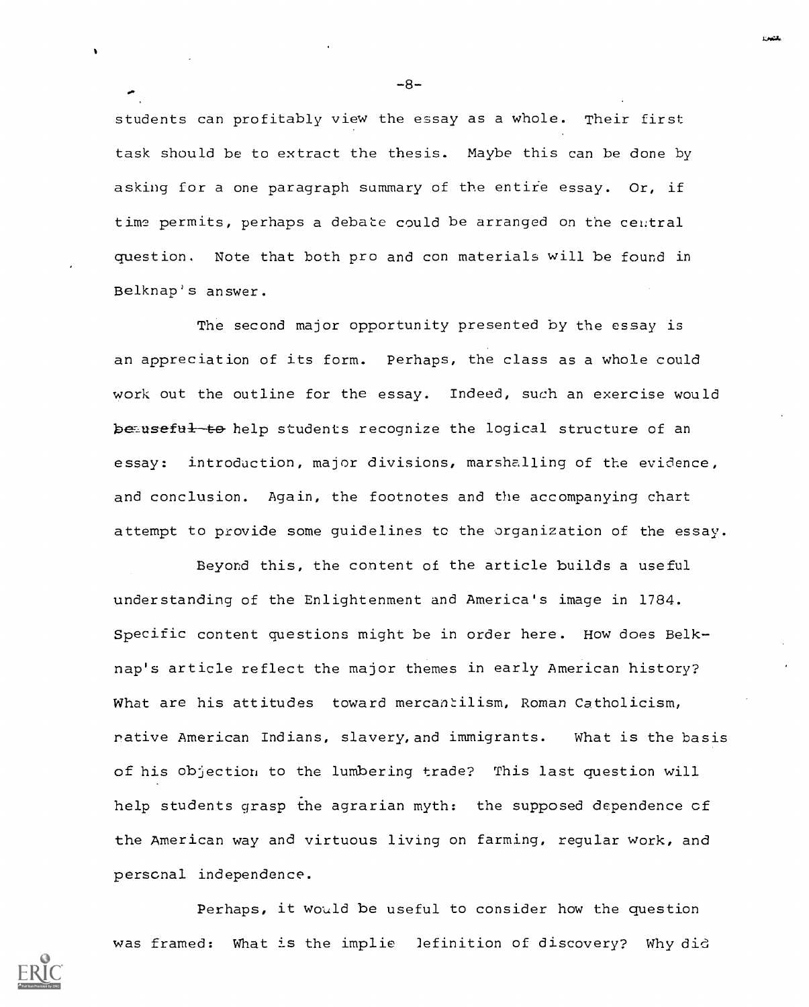students can profitably view the essay as a whole. Their first task should be to extract the thesis. Maybe this can be done by asking for a one paragraph summary of the entire essay. Or, if time permits, perhaps a debate could be arranged on the central question. Note that both pro and con materials will be found in Belknap's answer.

The second major opportunity presented by the essay is an appreciation of its form. Perhaps, the class as a whole could work out the outline for the essay. Indeed, such an exercise would be-useful-to help students recognize the logical structure of an essay: introduction, major divisions, marshalling of the evidence, and conclusion. Again, the footnotes and the accompanying chart attempt to provide some guidelines to the organization of the essay.

Beyond this, the content of the article builds a useful understanding of the Enlightenment and America's image in 1784. Specific content questions might be in order here. How does Belknap's article reflect the major themes in early American history? What are his attitudes toward mercantilism, Roman Catholicism, native American Indians, slavery, and immigrants. What is the basis of his objection to the lumbering trade? This last question will help students grasp the agrarian myth: the supposed dependence cf the American way and virtuous living on farming, regular work, and perscnal independence.

Perhaps, it would be useful to consider how the question was framed: What is the implie Jefinition of discovery? Why did



 $-8-$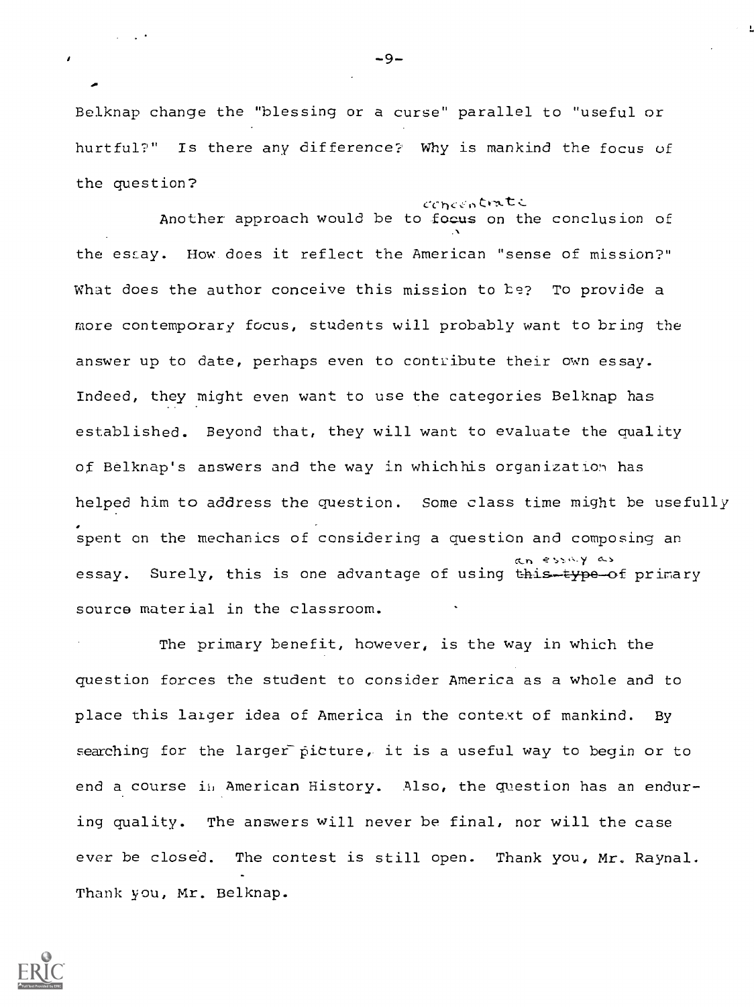Belknap change the "blessing or a curse" parallel to "useful or hurtful?" Is there any difference? Why is mankind the focus of the question?

concentrate Another approach would be to focus on the conclusion of the essay. How does it reflect the American "sense of mission?" What does the author conceive this mission to be? To provide a more contemporary focus, students will probably want to bring the answer up to date, perhaps even to contribute their own essay. Indeed, they might even want to use the categories Belknap has established. Beyond that, they will want to evaluate the ouality of Belknap's answers and the way in which his organization has helped him to address the question. Some class time might be usefully spent on the mechanics of considering a question and composing an an essay as essay. Surely, this is one advantage of using this-type-of primary source material in the classroom.

The primary benefit, however, is the way in which the question forces the student to consider America as a whole and to place this larger idea of America in the context of mankind. By searching for the larger picture, it is a useful way to begin or to end a course ii, American History. Also, the question has an enduring quality. The answers will never be final, nor will the case ever be closed. The contest is still open. Thank you, Mr. Raynal. Thank you, Mr. Belknap.



 $\mathbf{r}$ 

-9-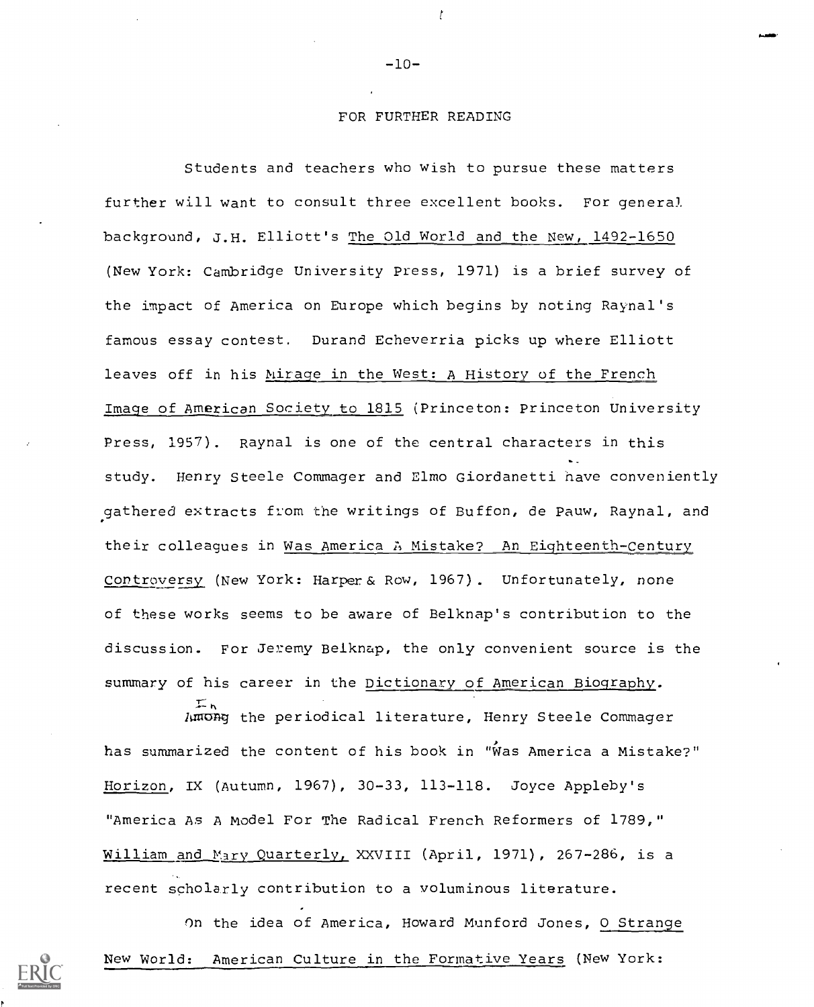#### FOR FURTHER READING

t

Students and teachers who wish to pursue these matters further will want to consult three excellent books. For general background, J.H. Elliott's The Old World and the New, 1492-1650 (New York: Cambridge University Press, 1971) is a brief survey of the impact of America on Europe which begins by noting Raynal's famous essay contest. Durand Echeverria picks up where Elliott leaves off in his Mirage in the West: A History of the French Image of American Society to 1815 (Princeton: Princeton University Press, 1957). Raynal is one of the central characters in this study. Henry Steele Commager and Elmo Giordanetti nave conveniently gathered extracts from the writings of Buffon, de Pauw, Raynal, and their colleagues in Was America A Mistake? An Eighteenth-Century Controversy (New York: Harper & Row, 1967). Unfortunately, none of these works seems to be aware of Belknap's contribution to the discussion. For Jeremy Belknap, the only convenient source is the summary of his career in the Dictionary of American Biography.

Among the periodical literature, Henry Steele Commager has summarized the content of his book in "Was America a Mistake?" Horizon, IX (Autumn, 1967), 30-33, 113-118. Joyce Appleby's "America As A Model For The Radical French Reformers of 1789," William and Mary Quarterly, XXVIII (April, 1971), 267-286, is a recent scholarly contribution to a voluminous literature.

 $\mathcal{I}_h$ 

On the idea of America, Howard Munford Jones, 0 Strange New World: American Culture in the Formative Years (New York:

-10-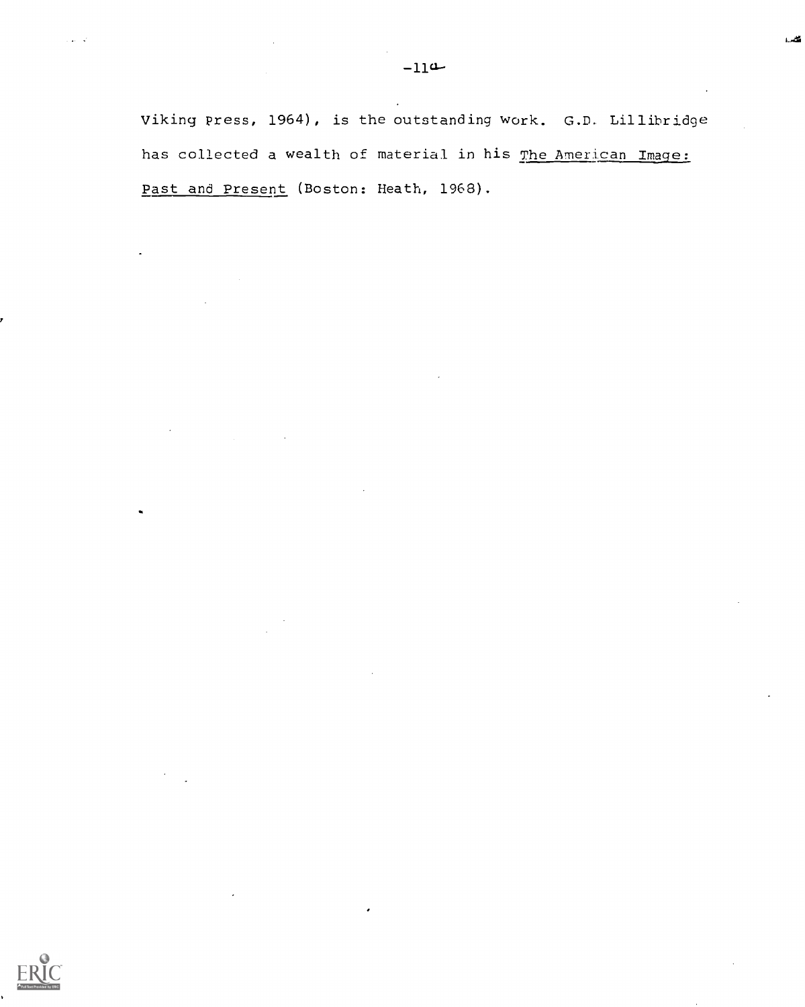فللمرد

Viking press, 1964), is the outstanding work. G.D. Lillibridge has collected a wealth of material in his The American Image: Past and Present (Boston: Heath, 1968).

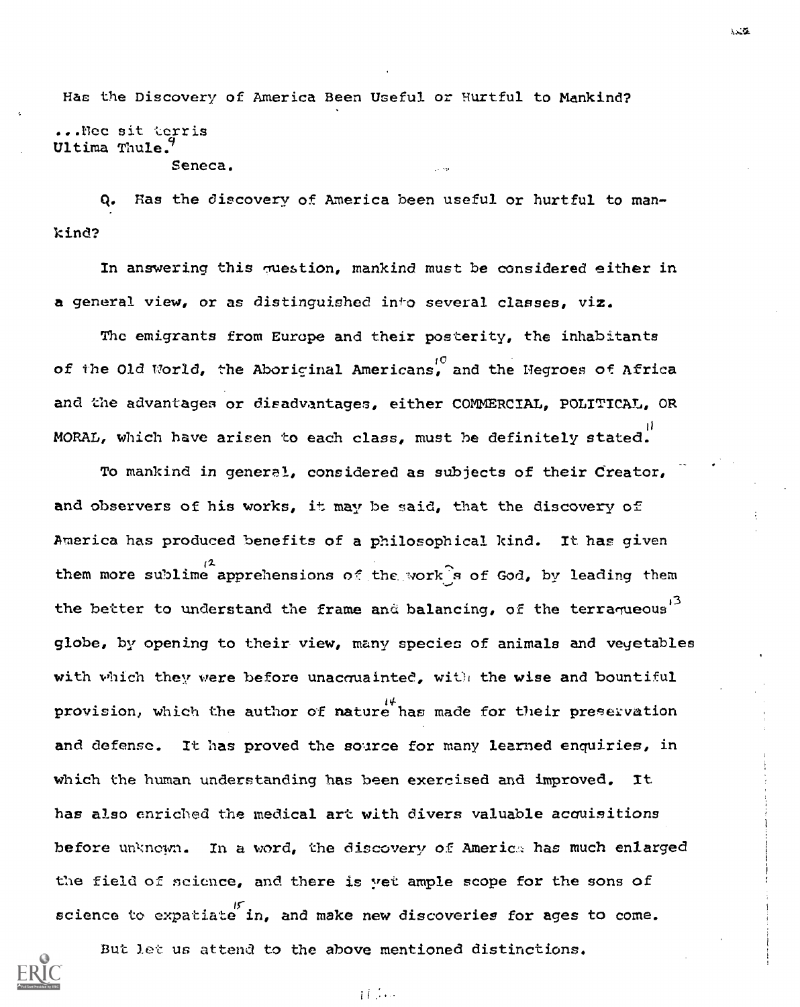Has the Discovery of America Been Useful or Hurtful to Mankind? ...nee sit Lerris Ultima Thule. Seneca.

q. Has the discovery of America been useful or hurtful to mankind?

In answering this question, mankind must be considered either in a general view, or as distinguished into several classes, viz.

The emigrants from Europe and their posterity, the inhabitants of the Old World, the Aboriginal Americans, and the Negroes of Africa and the advantages or disadvantages, either COMMERCIAL, POLITICAL, OR MORAL, which have arisen to each class, must he definitely stated.

To mankind in general, considered as subjects of their Creator, and observers of his works, it may be said, that the discovery of America has produced benefits of a philosophical kind. It has given them more sublime apprehensions of the work s of God, by leading them the better to understand the frame and balancing, of the terraqueous<sup>13</sup> globe, by opening to their view, many species of animals and vegetables with which they were before unacquainted, with the wise and bountiful provision, which the author of nature has made for their preservation and defense. It has proved the source for many learned enquiries, in which the human understanding has been exercised and improved. It has also enriched the medical art with divers valuable acouisitions before unknown. In a word, the discovery of America has much enlarged the field of science, and there is yet ample scope for the sons of science to expatiate in, and make new discoveries for ages to come.



But let us attend to the above mentioned distinctions.

 $i$   $i$   $\cdots$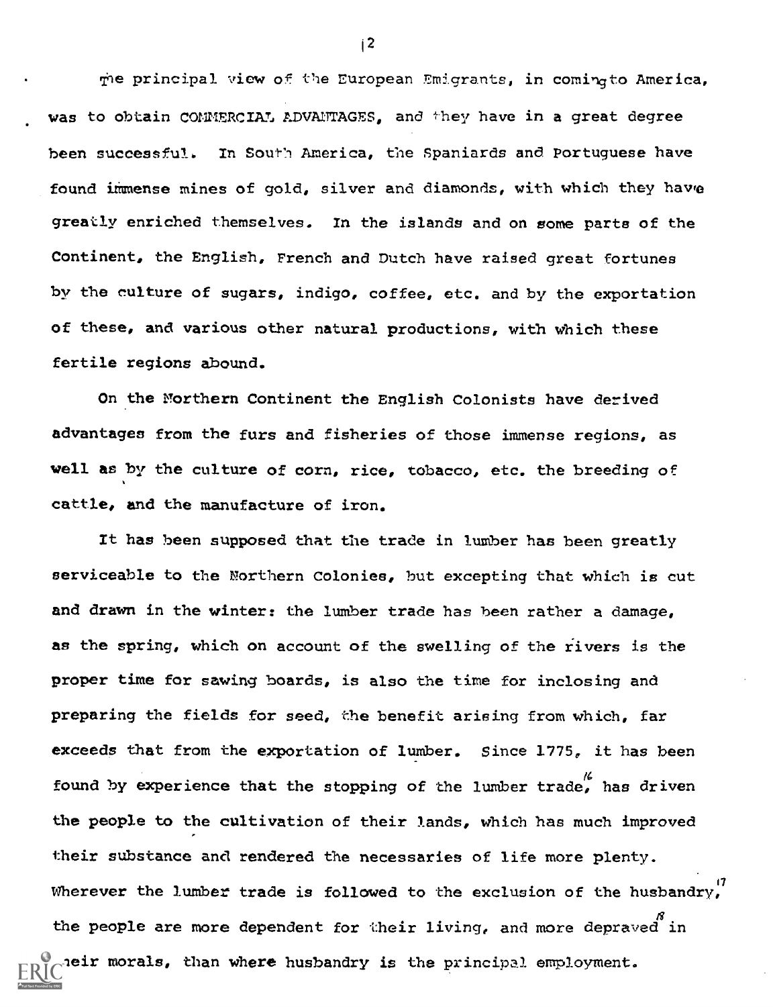7he principal view of the European Emgrants, in comingto America, was to obtain COMMERCIAL ADVANTAGES, and they have in a great degree been successful. In South America, the Spaniards and Portuguese have found immense mines of gold, silver and diamonds, with which they have greatly enriched themselves. In the islands and on some parts of the Continent, the English, French and Dutch have raised great fortunes by the culture of sugars, indigo, coffee, etc. and by the exportation of these, and various other natural productions, with which these fertile regions abound.

On the Northern Continent the English Colonists have derived advantages from the furs and fisheries of those immense regions, as well as by the culture of corn, rice, tobacco, etc. the breeding of cattle, and the manufacture of iron.

It has been supposed that the trade in lumber has been greatly serviceable to the Northern Colonies, but excepting that which is cut and drawn in the winter: the lumber trade has been rather a damage, as the spring, which on account of the swelling of the rivers is the proper time for sawing boards, is also the time for inclosing and preparing the fields for seed, the benefit arising from which, far exceeds that from the exportation of lumber. Since 1775, it has been found by experience that the stopping of the lumber trade, has driven the people to the cultivation of their lands, which has much improved their substance and rendered the necessaries of life more plenty. Wherever the lumber trade is followed to the exclusion of the husbandry,  $\mathcal{B}$ . the people are more dependent for their living, and more depraved in heir morals, than where husbandry is the principal employment.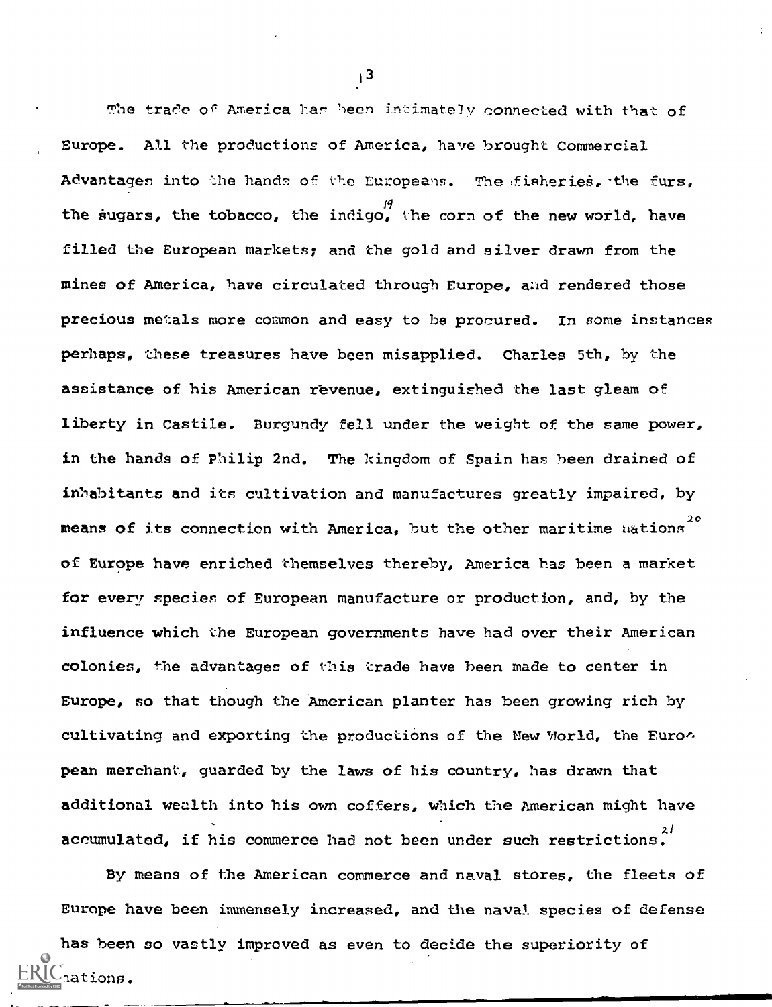The trade of America har been intimately connected with that of Europe. All the productions of America, have brought Commercial Advantages into the hands of the Europeans. The fisheries, the furs, the sugars, the tobacco, the indigo, the corn of the new world, have filled the European markets; and the gold and silver drawn from the mines of America, have circulated through Europe, and rendered those precious metals more common and easy to be procured. In some instances perhaps, these treasures have been misapplied. Charles 5th, by the assistance of his American revenue, extinguished the last gleam of liberty in Castile. Burgundy fell under the weight of the same power, in the hands of Philip 2nd. The kingdom of Spain has been drained of inhabitants and its cultivation and manufactures greatly impaired, by means of its connection with America, but the other maritime hations<sup>20</sup> of Europe have enriched themselves thereby, America has been a market for every species of European manufacture or production, and, by the influence which the European governments have had over their American colonies, the advantages of this trade have been made to center in Europe, so that though the American planter has been growing rich by cultivating and exporting the productions of the New World, the European merchant, guarded by the laws of his country, has drawn that additional wealth into his own coffers, which the American might have accumulated, if his commerce had not been under such restrictions.  $2^{2/3}$ 

By means of the American commerce and naval stores, the fleets of Europe have been immensely increased, and the naval species of defense

has been so vastly improved as even to decide the superiority of nations.

 $\frac{1}{2}$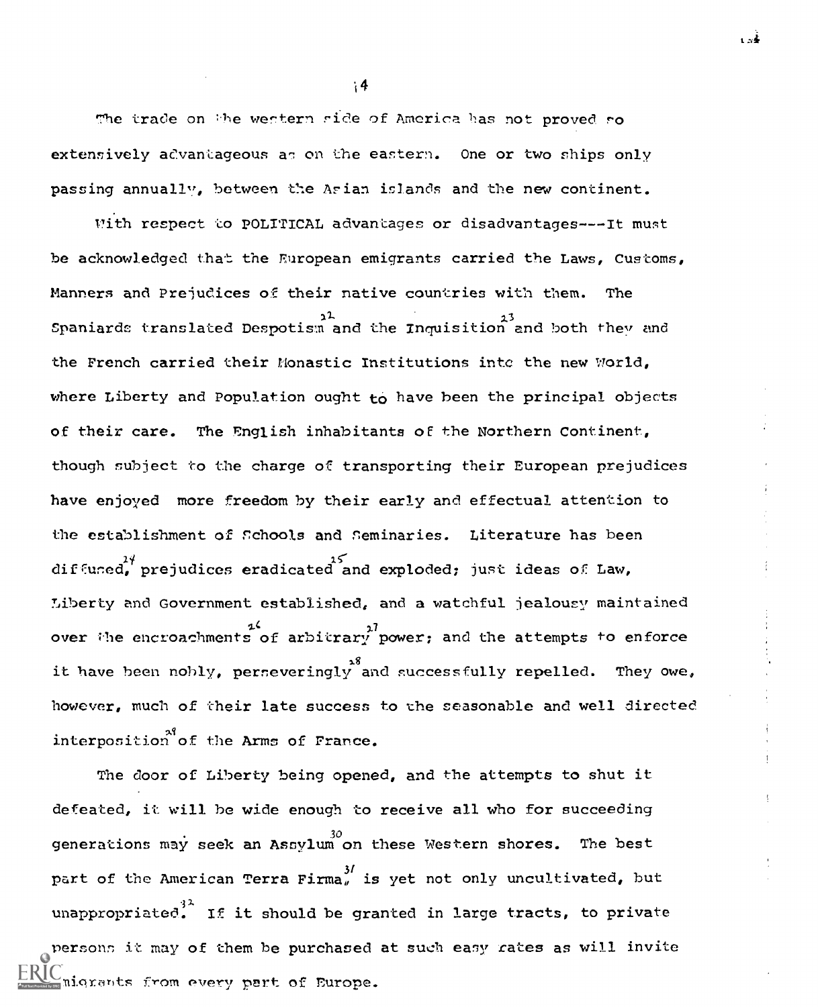The trade on the western side of America has not proved so extensively advantageous as on the eastern. One or two ships only passing annually, between the Arian islands and the new continent.

14

With respect to POLITICAL advantages or disadvantages --- It must be acknowledged that the European emigrants carried the Laws, Customs, Manners and Prejudices of their native countries with them. The  $\frac{1}{2}$ Spaniards translated Despotism and the Inquisition and both they and the French carried their Monastic Institutions inte the new World, where Liberty and Population ought to have been the principal objects of their care. The English inhabitants OF the Northern Continent, though nubject to the charge of transporting their European prejudices have enjoyed more freedom by their early and effectual attention to the establishment of schools and Seminaries. Literature has been diffused, prejudices eradicated and exploded; just ideas of Law, Liberty and Government established, and a watchful jealousy maintained  $1.4$   $1.7$  over the encroachments of arbitrary power; and the attempts to enforce it have been nobly, perseveringly and successfully repelled. They owe, we are the however, much of their late success to the seasonable and well directed interposition of the Arms of France.

The door of Liberty being opened, and the attempts to shut it defeated, it will he wide enough to receive all who for succeeding generations may seek an Assylum on these Western shores. The best part of the American Terra Firma, is yet not only uncultivated, but unappropriated. If it should be granted in large tracts, to private personn it may of them be purchased at such easy rates as will invite nigrants from every part of Europe.

1 a≰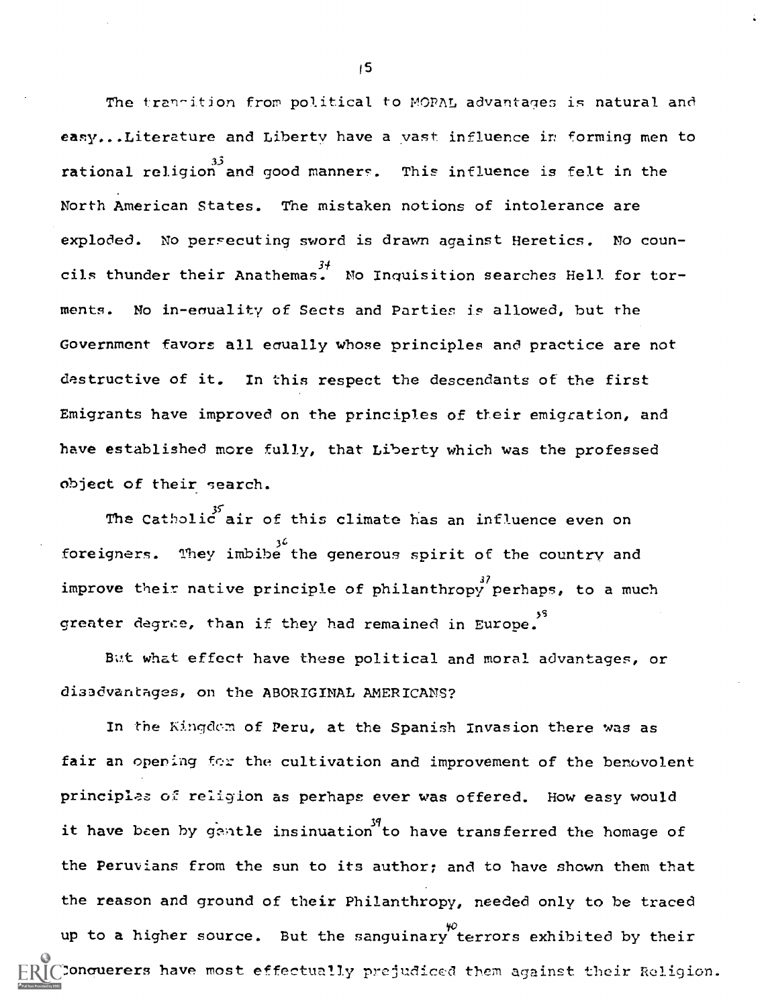The transition from political to MORAL advantages is natural and easy...Literature and Liberty have a vast influence ir forming men to 33 rational religion and good manners. This influence is felt in the North American States. The mistaken notions of intolerance are exploded. No persecuting sword is drawn against Heretics. No councils thunder their Anathemas. No Inquisition searches Hell for torments. No in-enuality of Sects and Parties is allowed, but the Government favors all eaually whose principles and practice are not destructive of it. In this respect the descendants of the first Emigrants have improved on the principles of their emigration, and have established more fully, that Liberty which was the professed object of their search.

The Catholic air of this climate has an influence even on 36 foreigners. They imbibe the generous spirit of the country and improve their native principle of philanthropy perhaps, to a much greater degree, than if they had remained in Europe.<sup>55</sup>

But what effect have these political and moral advantages, or disadvantages, on the ABORIGINAL AMERICANS?

In the Kingdom of Peru, at the Spanish Invasion there was as fair an opening for the cultivation and improvement of the benovolent principles oE religion as perhaps ever was offered. How easy would it have been by gentle insinuation to have transferred the homage of the Peruvians from the sun to its author; and to have shown them that the reason and ground of their Philanthropy, needed only to be traced up to a higher source. But the sanguinary terrors exhibited by their Concuerers have most effectually prejudiced them against their Religion.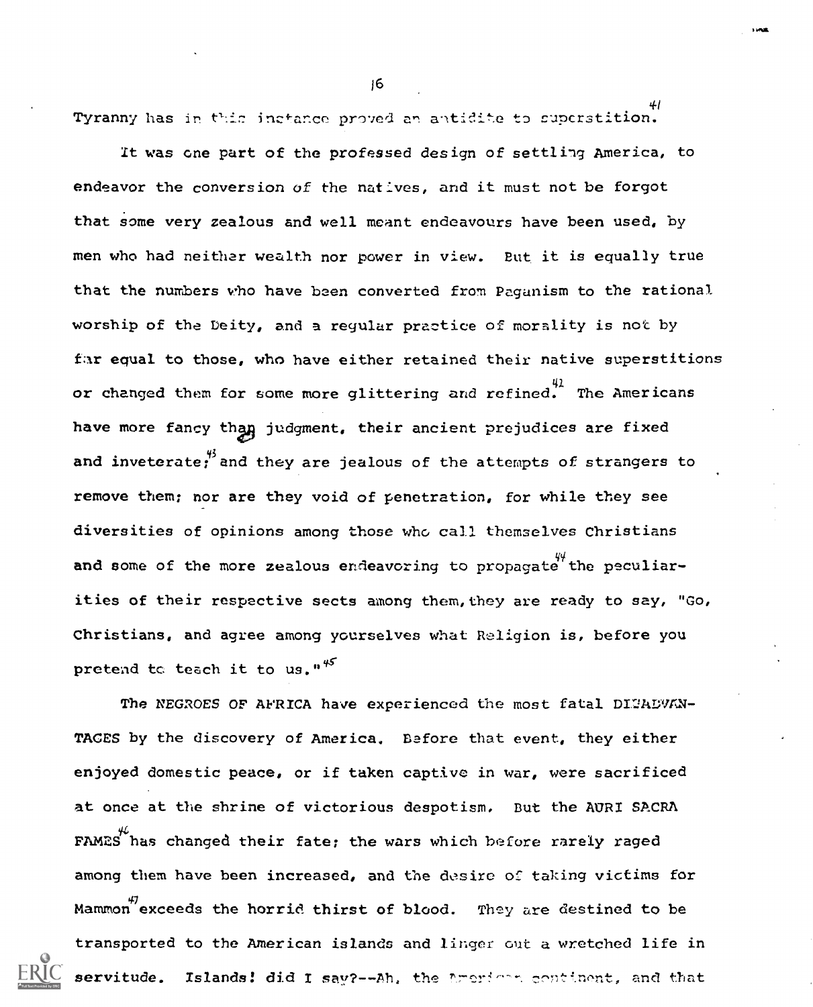Tyranny has in this inctance proved an antidite to superstition.

It was one part of the professed design of settling America, to endeavor the conversion of the natives, and it must not be forgot that some very zealous and well meant endeavours have been used, by men who had neither wealth nor power in view. But it is equally true that the numbers who have been converted from Paganism to the rational worship of the Deity, and a regular practice of morality is not by far equal to those, who have either retained their native superstitions or changed them for some more glittering and refined. The Americans have more fancy than judgment, their ancient prejudices are fixed and inveterate; and they are jealous of the attempts of strangers to remove them; nor are they void of penetration, for while they see diversities of opinions among those who call themselves Christians and some of the more zealous endeavoring to propagate the peculiarities of their respective sects among them, they are ready to say, "Go, Christians, and agree among yourselves what Religion is, before you pretend to teach it to us." $45$ 

The NEGROES OF AFRICA have experienced the most fatal DI2ADVAN-TAGES by the discovery of America. Before that event, they either enjoyed domestic peace, or if taken captive in war, were sacrificed at once at the shrine of victorious despotism. But the AURI SACRA FAMES has changed their fate; the wars which before rarely raged among them have been increased, and the desire of taking victims for Mammon<sup>47</sup> exceeds the horrid thirst of blood. They are destined to be transported to the American islands and linger out a wretched life in servitude. Islands! did I say?--Ah, the American continent, and that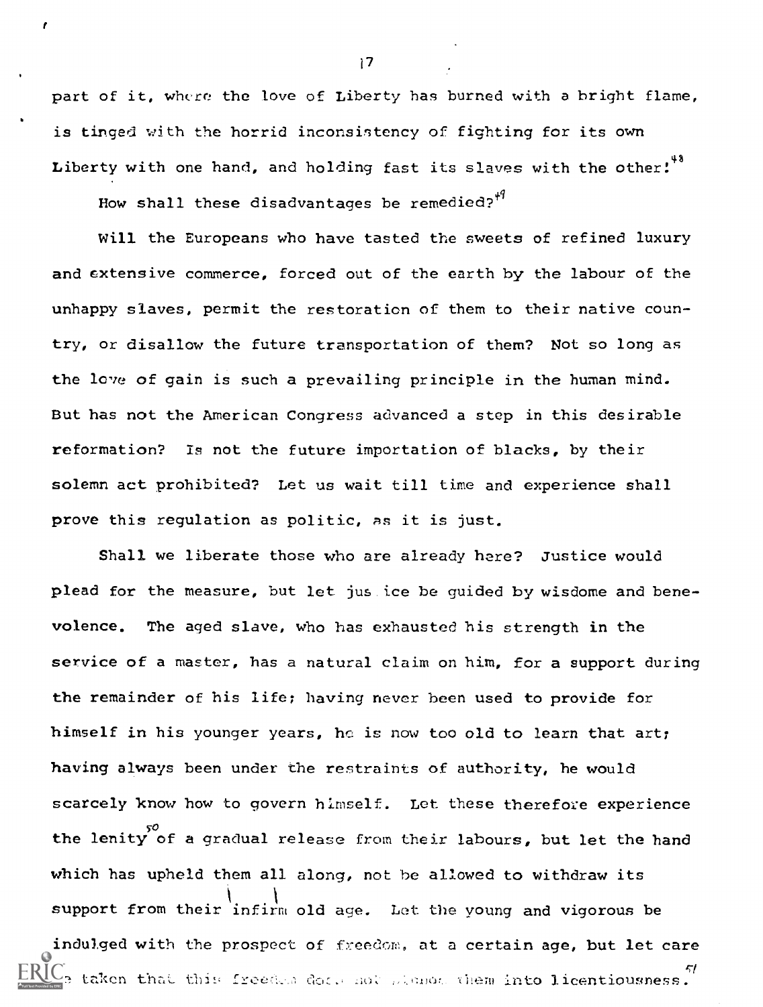part of it, where the love of Liberty has burned with a bright flame, is tinged with the horrid inconsistency of fighting for its own Liberty with one hand, and holding fast its slaves with the other!<sup>48</sup>

How shall these disadvantages be remedied? $4^4$ 

r

Will the Europeans who have tasted the sweets of refined luxury and extensive commerce, forced out of the earth by the labour of the unhappy slaves, permit the restoration of them to their native country, or disallow the future transportation of them? Not so long as the love of gain is such a prevailing principle in the human mind. But has not the American Congress advanced a step in this desirable reformation? Is not the future importation of blacks, by their solemn act prohibited? Let us wait till time and experience shall prove this regulation as politic, as it is just.

Shall we liberate those who are already here? Justice would plead for the measure, but let jus.ice be guided by wisdome and benevolence. The aged slave, who has exhausted his strength in the service of a master, has a natural claim on him, for a support during the remainder of his life; having never been used to provide for himself in his younger years, he is now too old to learn that art; having always been under the restraints of authority, he would scarcely know how to govern himself. Let these therefore experience the lenity of a gradual release from their labours, but let the hand which has upheld them all along, not be allowed to withdraw its support from their infirm old age. Let the young and vigorous be indulged with the prospect of freedom, at a certain age, but let care  $\text{IC}_2$  taken that this freeded dock mot planor them into licentiousness.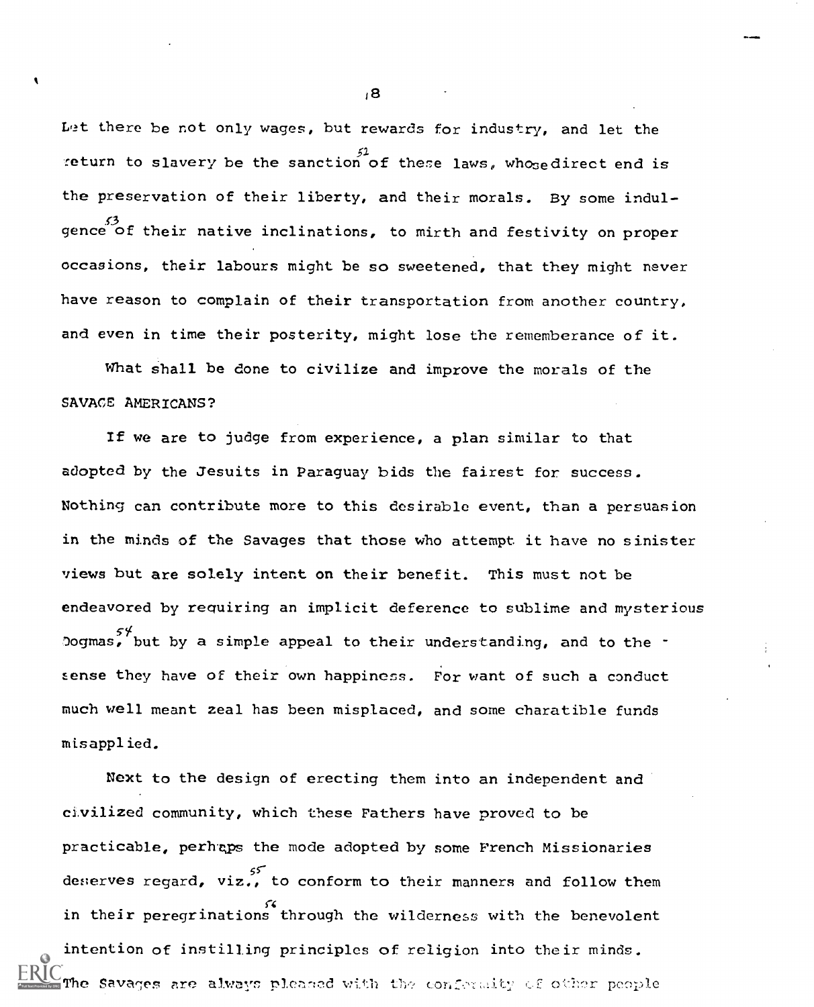Let there be not only wages, but rewards for industry, and let the return to slavery be the sanction of these laws, whosedirect end is the preservation of their liberty, and their morals. By some indul gence of their native inclinations, to mirth and festivity on proper occasions, their labours might be so sweetened, that they might never have reason to complain of their transportation from another country, and even in time their posterity, might lose the rememberance of it.

What shall be done to civilize and improve the morals of the SAVACE AMERICANS?

If we are to judge from experience, a plan similar to that adopted by the Jesuits in Paraguay bids the fairest for success. Nothing can contribute more to this desirable event, than a persuasion in the minds of the Savages that those who attempt it have no sinister views but are solely intent on their benefit. This must not be endeavored by requiring an implicit deference to sublime and mysterious Dogmas, but by a simple appeal to their understanding, and to the – sense they have of their own happiness. For want of such a conduct much well meant zeal has been misplaced, and some charatible funds misapplied.

Next to the design of erecting them into an independent and civilized community, which these Fathers have proved to be practicable, perhaps the mode adopted by some French Missionaries deserves regard, viz., to conform to their manners and follow them in their peregrinations through the wilderness with the benevolent intention of instilling principles of religion into their minds. The Savages are always pleased with the confermity of other people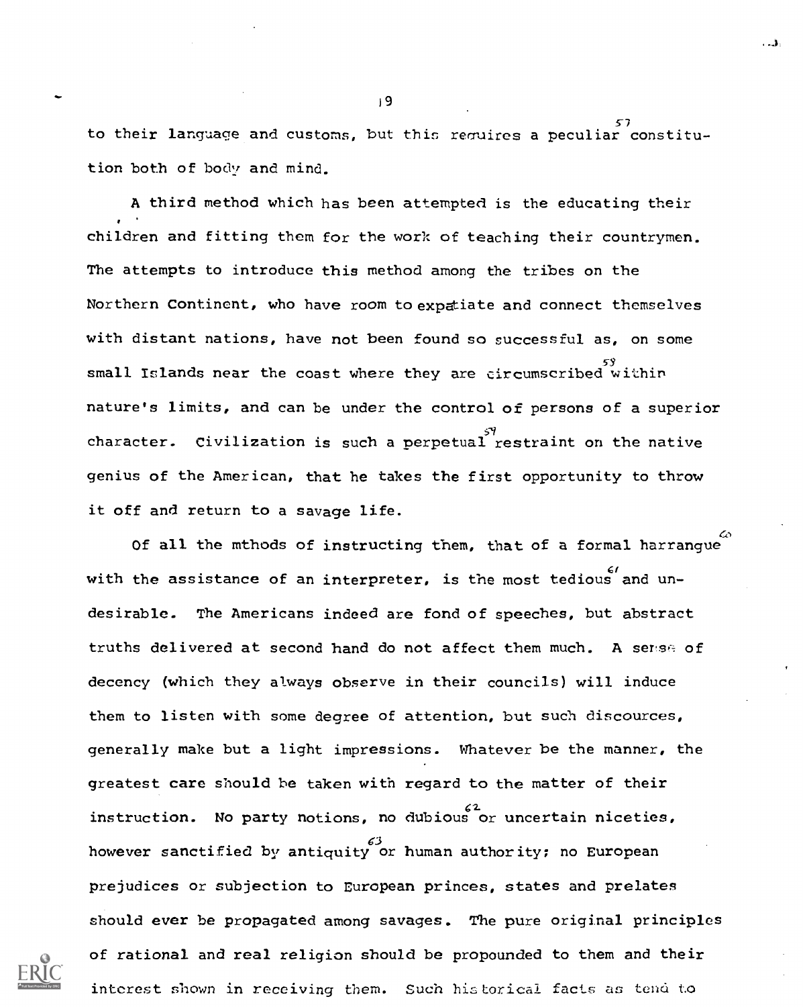$57$ to their language and customs, but this requires a peculiar constitution both of body and mind.

A third method which has been attempted is the educating their children and fitting them for the work of teaching their countrymen. The attempts to introduce this method among the tribes on the Northern Continent, who have room to expatiate and connect themselves with distant nations, have not been found so successful as, on some small Islands near the coast where they are circumscribed within nature's limits, and can be under the control of persons of a superior character. Civilization is such a perpetual restraint on the native genius of the American, that he takes the first opportunity to throw it off and return to a savage life.

 $\omega$  and  $\omega$ 

. ئ.

Of all the mthods of instructing them, that of a formal harrangue with the assistance of an interpreter, is the most tedious and undesirable. The Americans indeed are fond of speeches, but abstract truths delivered at second hand do not affect them much. A serise of decency (which they always observe in their councils) will induce them to listen with some degree of attention, but such discources, generally make but a light impressions. Whatever be the manner, the greatest care should be taken with regard to the matter of their 2- instruction. No party notions, no dubious or uncertain niceties, however sanctified by antiquity or human authority; no European prejudices or subjection to European princes, states and prelates should ever be propagated among savages. The pure original principles of rational and real religion should be propounded to them and their interest shown in receiving them. Such historical facts as tend to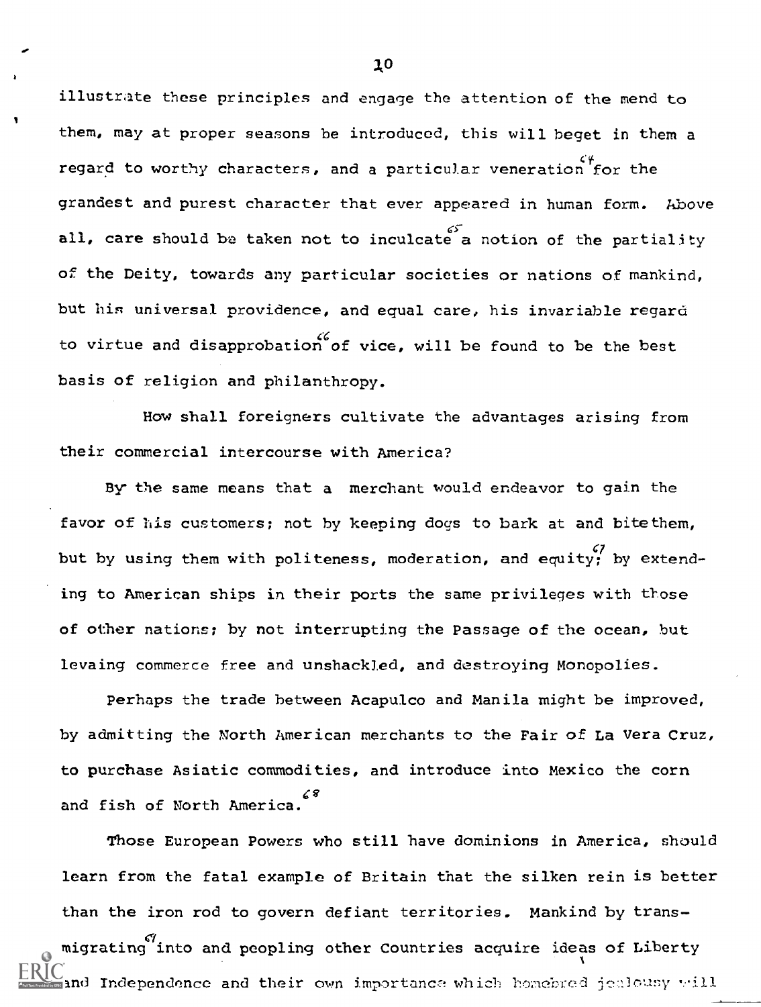illustrate these principles and engage the attention of the mend to them, may at proper seasons be introduced, this will beget in them a  $\zeta \psi$  the  $\zeta$ regard to worthy characters, and a particular veneration for the grandest and purest character that ever appeared in human form. hbove all, care should be taken not to inculcate a notion of the partiality of the Deity, towards any particular societies or nations of mankind, but his universal providence, and equal care, his invariable regard to virtue and disapprobation of vice, will be found to be the best basis of religion and philanthropy.

How shall foreigners cultivate the advantages arising from their commercial intercourse with America?

By the same means that a merchant would endeavor to gain the favor of his customers; not by keeping dogs to bark at and bitethem, but by using them with politeness, moderation, and equity; by extending to American ships in their ports the same privileges with those of other nations; by not interrupting the Passage of the ocean, but levaing commerce free and unshackled, and destroying Monopolies.

Perhaps the trade between Acapulco and Manila might be improved, by admitting the North American merchants to the Fair of La Vera Cruz, to purchase Asiatic commodities, and introduce into Mexico the corn 68 and fish of North America.

Those European Powers who still have dominions in America, should learn from the fatal example of Britain that the silken rein is better than the iron rod to govern defiant territories. Mankind by transmigrating into and peopling other Countries acquire ideas of Liberty and Independence and their own importance which homebred jealousy will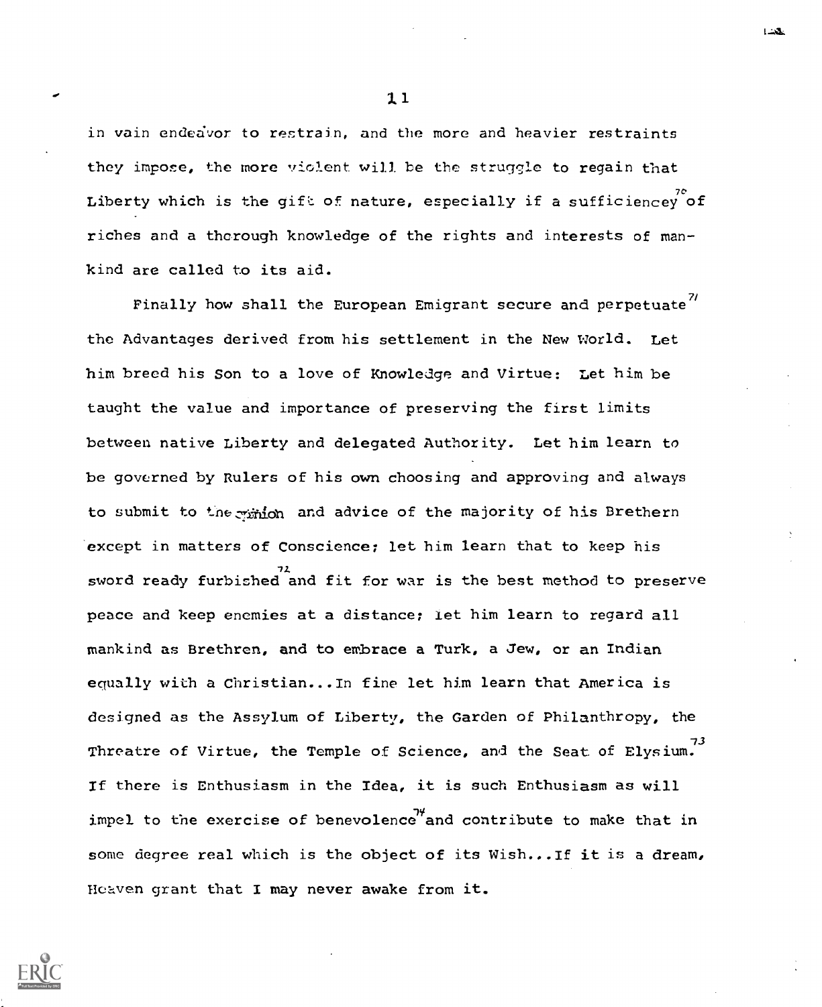in vain endeavor to restrain, and the more and heavier restraints they impose, the more violent will be the struggle to regain that Liberty which is the gift of nature, especially if a sufficiencey of riches and a thorough knowledge of the rights and interests of mankind are called to its aid.

Finally how shall the European Emigrant secure and perpetuate<sup>7/</sup> the Advantages derived from his settlement in the New World. Let him breed his Son to a love of Knowledge and Virtue; Let him be taught the value and importance of preserving the first limits between native Liberty and delegated Authority. Let him learn to be governed by Rulers of his own choosing and approving and always to submit to the winion and advice of the majority of his Brethern except in matters of Conscience; let him learn that to keep his sword ready furbished and fit for war is the best method to preserve peace and keep enemies at a distance; let him learn to regard all mankind as Brethren, and to embrace a Turk, a Jew, or an Indian equally with a Christian...In fine let him learn that America is designed as the Assylum of Liberty, the Garden of Philanthropy, the Threatre of Virtue, the Temple of Science, and the Seat of Elysium.  $\frac{7^3}{1000}$ If there is Enthusiasm in the Idea, it is such Enthusiasm as will impel to the exercise of benevolence and contribute to make that in some degree real which is the object of its Wish...If it is a dream, Heaven grant that I may never awake from it.

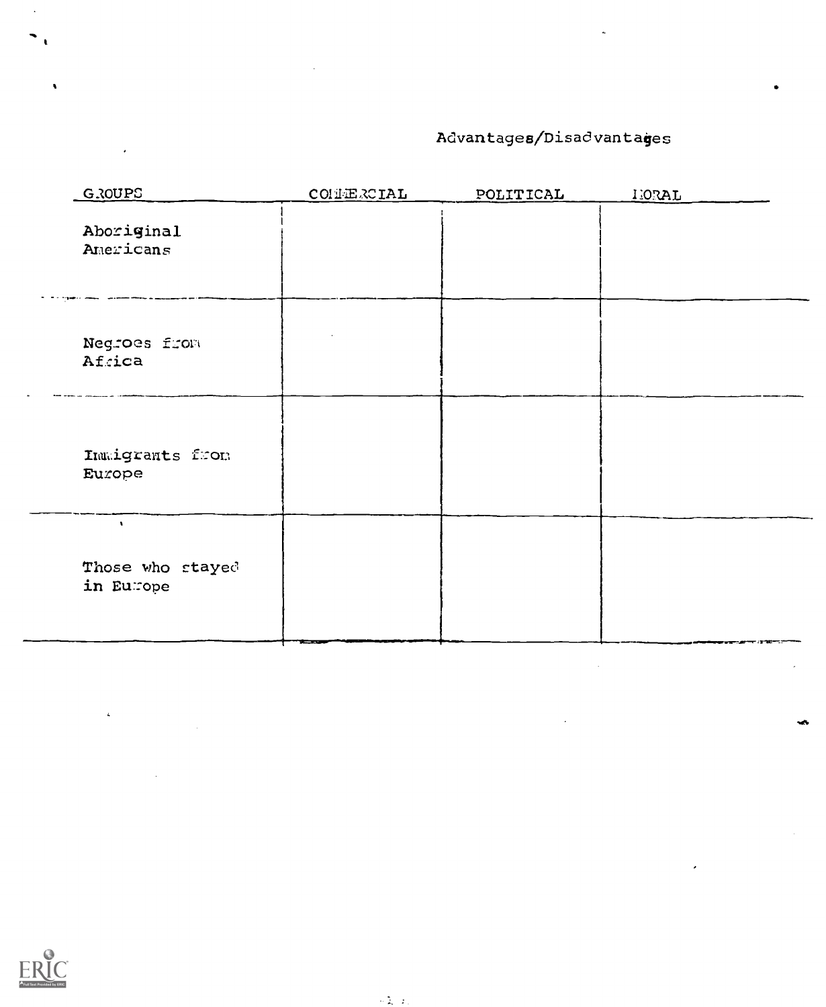# Advantages/Disadvantages

| GROUPS                                        | CONERCIAL | POLITICAL | <b>IEORAL</b> |
|-----------------------------------------------|-----------|-----------|---------------|
| Aboriginal<br>Americans                       |           |           |               |
| Negroes from<br>Africa                        |           |           |               |
| Inmigrants from<br>Europe                     |           |           |               |
| $\mathbf{v}$<br>Those who stayed<br>in Europe |           |           |               |



 $\bar{\mathbf{z}}$ 

I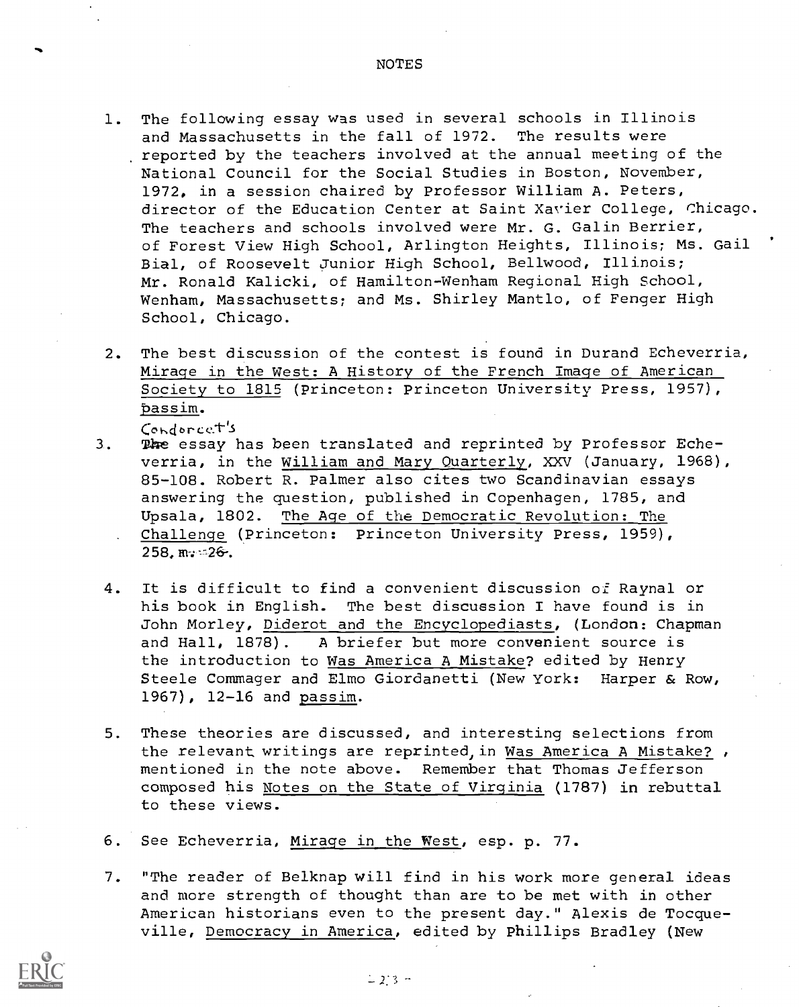- 1. The following essay was used in several schools in Illinois and Massachusetts in the fall of 1972. The results were reported by the teachers involved at the annual meeting of the National Council for the Social Studies in Boston, November, 1972, in a session chaired by Professor William A. Peters, director of the Education Center at Saint Xavier College, Chicago. The teachers and schools involved were Mr. G. Galin Berrier, of Forest View High School, Arlington Heights, Illinois; Ms. Gail Bial, of Roosevelt Junior High School, Bellwood, Illinois; Mr. Ronald Kalicki, of Hamilton-Wenham Regional High School, Wenham, Massachusetts; and Ms. Shirley Mantlo, of Fenger High School, Chicago.
- 2. The best discussion of the contest is found in Durand Echeverria, Mirage in the West: A History of the French Image of American Society to 1815 (Princeton: Princeton University Press, 1957), passim.

Condorcet's

- 3. The essay has been translated and reprinted by Professor Echeverria, in the William and Mary Quarterly, XXV (January, 1968), 85-108. Robert R. Palmer also cites two Scandinavian essays answering the question, published in Copenhagen, 1785, and Upsala, 1802. The Age of the Democratic Revolution: The Challenge (Princeton: Princeton University Press, 1959), 258. m. - 26.
- 4. It is difficult to find a convenient discussion of Raynal or his book in English. The best discussion I have found is in John Morley, Diderot and the Encyclopediasts, (London: Chapman and Hall, 1878). A briefer but more convenient source is the introduction to Was America A Mistake? edited by Henry Steele Commager and Elmo Giordanetti (New York: Harper & Row, 1967), 12-16 and passim.
- 5. These theories are discussed, and interesting selections from the relevant writings are reprinted, in Was America A Mistake? , mentioned in the note above. Remember that Thomas Jefferson composed his Notes on the State of Virginia (1787) in rebuttal to these views.
- 6. See Echeverria, Mirage in the West, esp. p. 77.
- 7. "The reader of Belknap will find in his work more general ideas and more strength of thought than are to be met with in other American historians even to the present day." Alexis de Tocqueville, Democracy in America, edited by Phillips Bradley (New

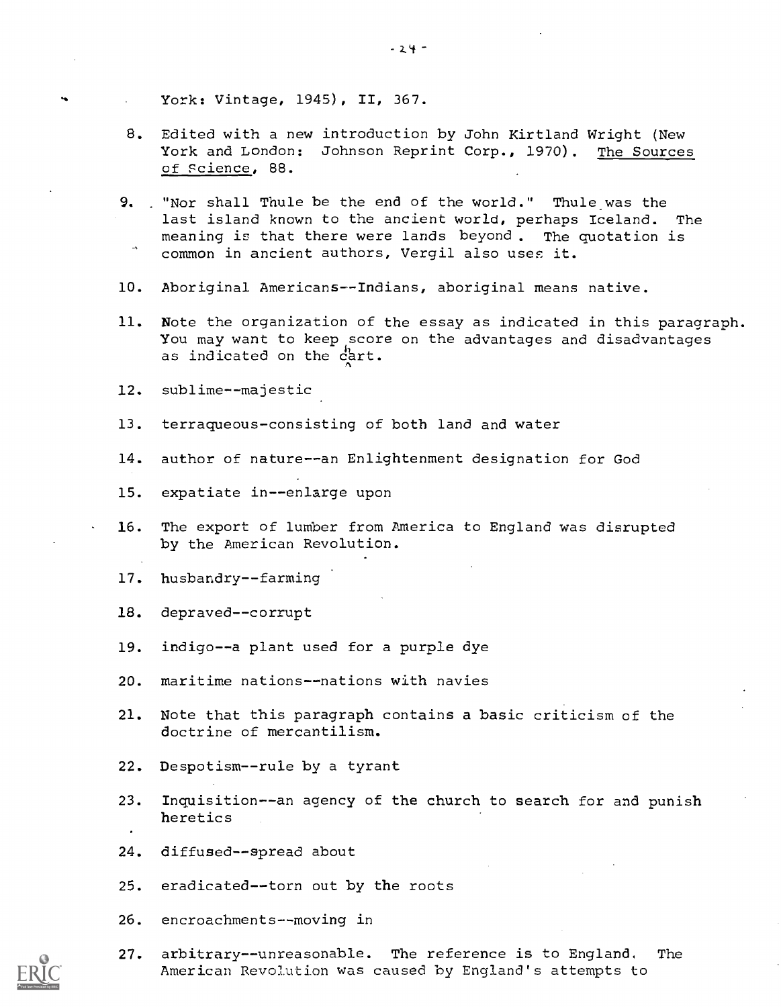- York: Vintage, 1945), II, 367.
- 8. Edited with a new introduction by John Kirtland Wright (New York and London: Johnson Reprint Corp., 1970). The Sources of science, 88.
- 9. . "Nor shall Thule be the end of the world." Thule was the last island known to the ancient world, perhaps Iceland. The meaning is that there were lands beyond. The quotation is common in ancient authors, Vergil also uses it.
- 10. Aboriginal Americans--Indians, aboriginal means native.
- 11. Note the organization of the essay as indicated in this paragraph. You may want to keep score on the advantages and disadvantages as indicated on the cart.
- 12. sublime--majestic
- 13. terraqueous-consisting of both land and water
- 14. author of nature--an Enlightenment designation for God
- 15. expatiate in--enlarge upon
- 16. The export of lumber from America to England was disrupted by the American Revolution.
- 17. husbandry--farming
- 18. depraved--corrupt
- 19. indigo--a plant used for a purple dye
- 20. maritime nations--nations with navies
- 21. Note that this paragraph contains a basic criticism of the doctrine of mercantilism.
- 22. Despotism--rule by a tyrant
- 23. Inquisition--an agency of the church to search for and punish heretics
- 24. diffused--spread about
- 25. eradicated--torn out by the roots
- 26. encroachments--moving in
- 27. arbitrary--unreasonable. The reference is to England. The American Revolution was caused by England's attempts to

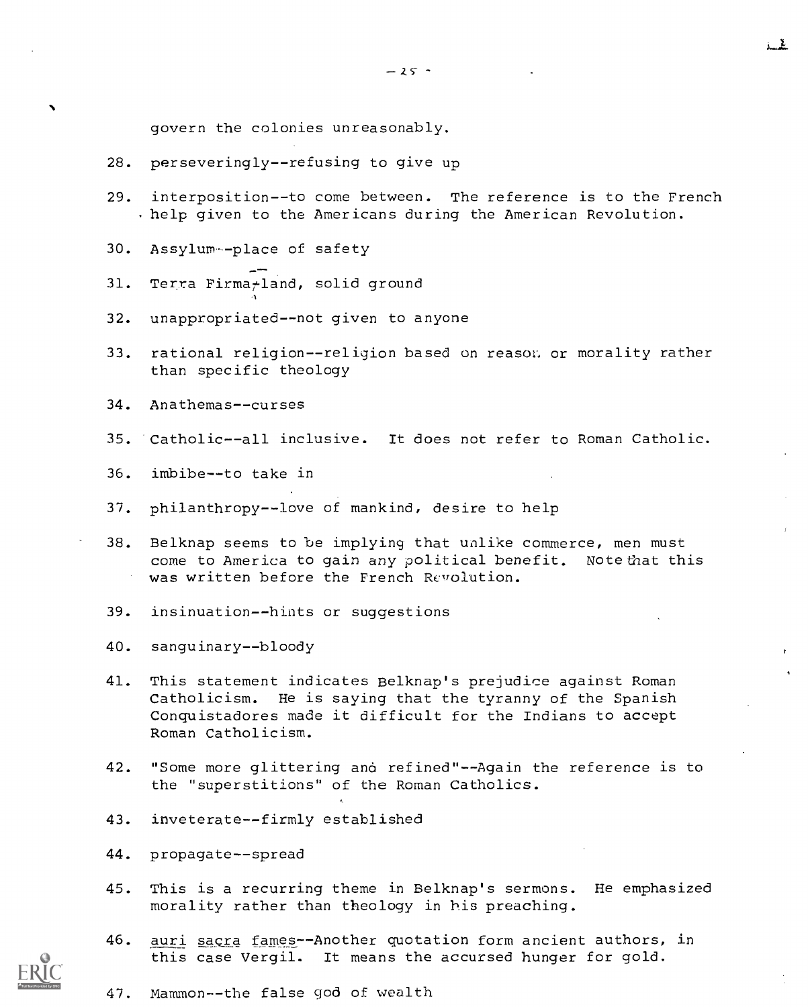$-25 -$ 

govern the colonies unreasonably.

- 28. perseveringly--refusing to give up
- 29. interposition--to come between. The reference is to the French .help given to the Americans during the American Revolution.
- 30. Assylum--place of safety
- 31. Terra Firma<sub>tland</sub>, solid ground
- 32. unappropriated--not given to anyone
- 33. rational religion--religion based on reason or morality rather than specific theology
- 34. Anathemas--curses
- 35. Catholic--all inclusive. It does not refer to Roman Catholic.
- 36. imbibe--to take in
- 37. philanthropy--love of mankind, desire to help
- 38. Belknap seems to be implying that unlike commerce, men must come to America to gain any political benefit. Note that this was written before the French Revolution.
- 39. insinuation--hints or suggestions
- 40. sanguinary--bloody
- 41. This statement indicates Belknap's prejudice against Roman Catholicism. He is saying that the tyranny of the Spanish Conquistadores made it difficult for the Indians to accept Roman Catholicism.
- 42. "Some more glittering and refined"--Again the reference is to the "superstitions" of the Roman Catholics.
- 43. inveterate--firmly established
- 44. propagate--spread
- 45. This is a recurring theme in Belknap's sermons. He emphasized morality rather than theology in his preaching.
- 46. auri sacra fames--Another quotation form ancient authors, in this case Vergil. It means the accursed hunger for gold.



47. Mammon--the false god of wealth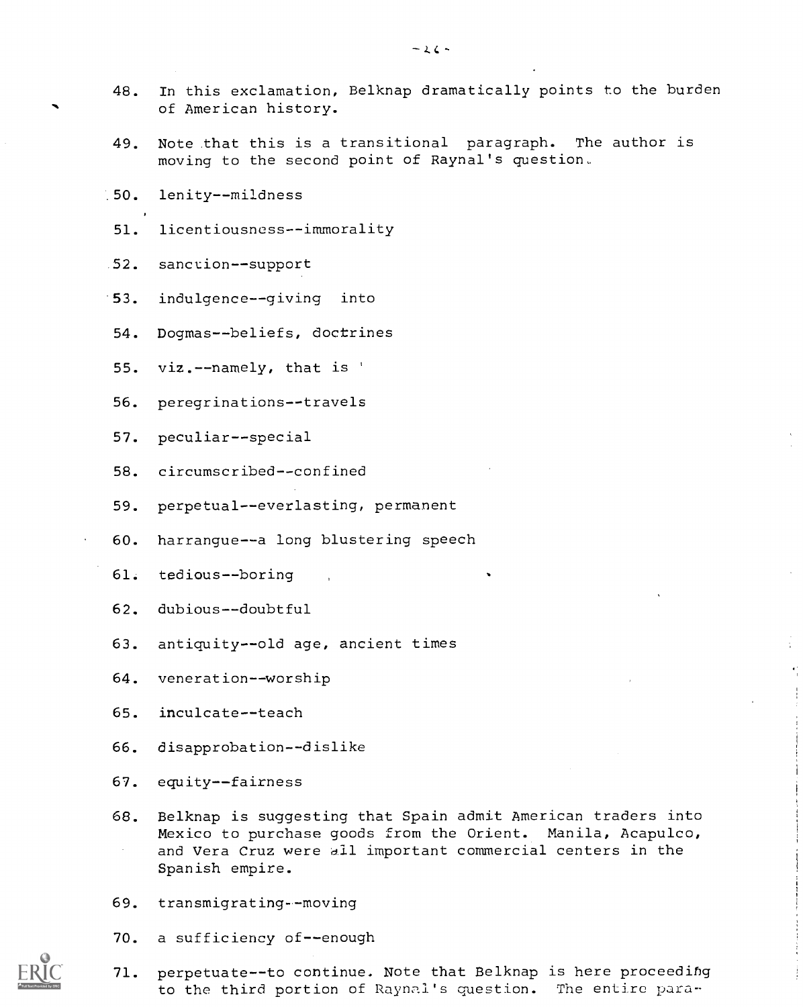- 48. In this exclamation, Belknap dramatically points to the burden of American history.
- 49. Note that this is a transitional paragraph. The author is moving to the second point of Raynal's question
- .50. lenity--mildness
- 51. licentiousness--immorality
- 52. sanction--support
- '53. indulgence--giving into
- 54. Dogmas--beliefs, doctrines
- 55. viz.--namely, that is '
- 56. peregrinations--travels
- 57. peculiar--special
- 58. circumscribed--confined
- 59. perpetual--everlasting, permanent
- 60. harrangue--a long blustering speech
- 61. tedious--boring
- 62. dubious--doubtful
- 63. antiquity--old age, ancient times
- 64. veneration--worship
- 65. inculcate--teach
- 66. disapprobation--dislike
- 67. equity--fairness
- 68. Belknap is suggesting that Spain admit American traders into Mexico to purchase goods from the Orient. Manila, Acapulco, and Vera Cruz were all important commercial centers in the Spanish empire.
- 69. transmigrating--moving
- 70. a sufficiency of--enough
- 71. perpetuate--to continue. Note that Belknap is here proceeding to the third portion of Raynal's question. The entire para-